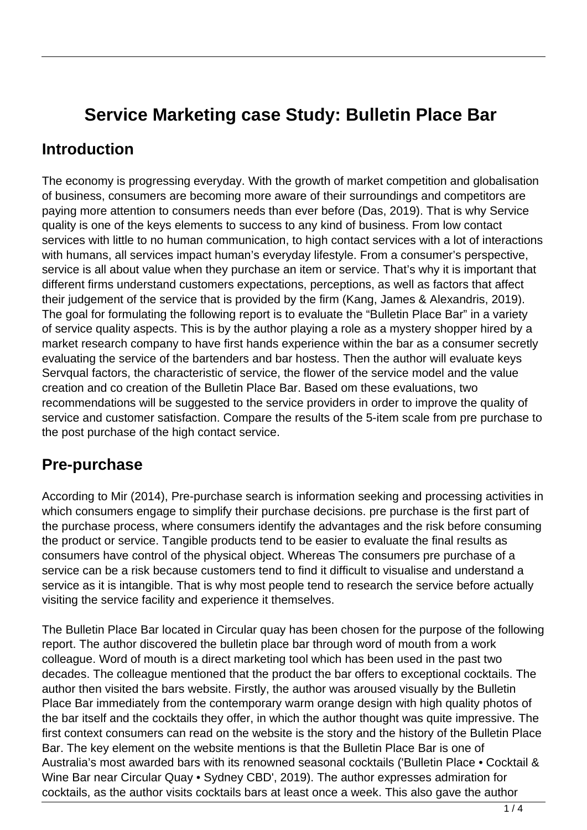# **Service Marketing case Study: Bulletin Place Bar**

### **Introduction**

The economy is progressing everyday. With the growth of market competition and globalisation of business, consumers are becoming more aware of their surroundings and competitors are paying more attention to consumers needs than ever before (Das, 2019). That is why Service quality is one of the keys elements to success to any kind of business. From low contact services with little to no human communication, to high contact services with a lot of interactions with humans, all services impact human's everyday lifestyle. From a consumer's perspective, service is all about value when they purchase an item or service. That's why it is important that different firms understand customers expectations, perceptions, as well as factors that affect their judgement of the service that is provided by the firm (Kang, James & Alexandris, 2019). The goal for formulating the following report is to evaluate the "Bulletin Place Bar" in a variety of service quality aspects. This is by the author playing a role as a mystery shopper hired by a market research company to have first hands experience within the bar as a consumer secretly evaluating the service of the bartenders and bar hostess. Then the author will evaluate keys Servqual factors, the characteristic of service, the flower of the service model and the value creation and co creation of the Bulletin Place Bar. Based om these evaluations, two recommendations will be suggested to the service providers in order to improve the quality of service and customer satisfaction. Compare the results of the 5-item scale from pre purchase to the post purchase of the high contact service.

#### **Pre-purchase**

According to Mir (2014), Pre-purchase search is information seeking and processing activities in which consumers engage to simplify their purchase decisions. pre purchase is the first part of the purchase process, where consumers identify the advantages and the risk before consuming the product or service. Tangible products tend to be easier to evaluate the final results as consumers have control of the physical object. Whereas The consumers pre purchase of a service can be a risk because customers tend to find it difficult to visualise and understand a service as it is intangible. That is why most people tend to research the service before actually visiting the service facility and experience it themselves.

The Bulletin Place Bar located in Circular quay has been chosen for the purpose of the following report. The author discovered the bulletin place bar through word of mouth from a work colleague. Word of mouth is a direct marketing tool which has been used in the past two decades. The colleague mentioned that the product the bar offers to exceptional cocktails. The author then visited the bars website. Firstly, the author was aroused visually by the Bulletin Place Bar immediately from the contemporary warm orange design with high quality photos of the bar itself and the cocktails they offer, in which the author thought was quite impressive. The first context consumers can read on the website is the story and the history of the Bulletin Place Bar. The key element on the website mentions is that the Bulletin Place Bar is one of Australia's most awarded bars with its renowned seasonal cocktails ('Bulletin Place • Cocktail & Wine Bar near Circular Quay • Sydney CBD', 2019). The author expresses admiration for cocktails, as the author visits cocktails bars at least once a week. This also gave the author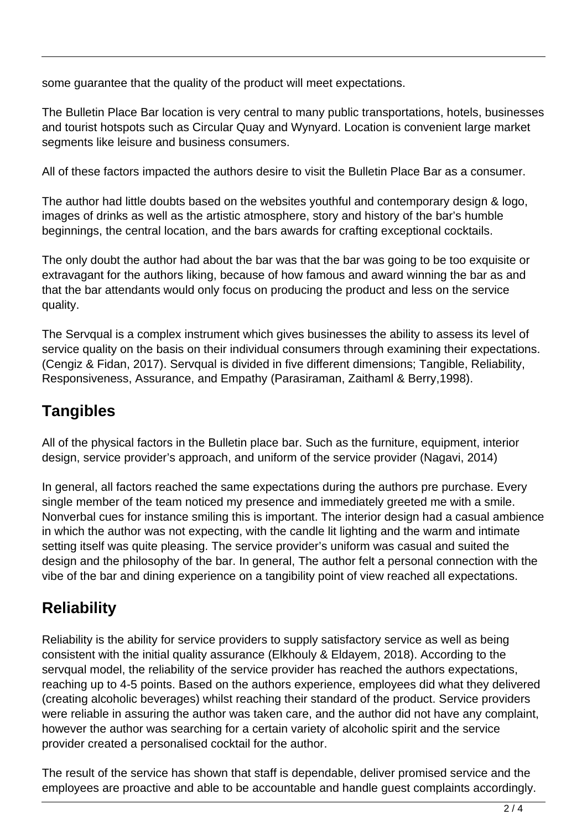some guarantee that the quality of the product will meet expectations.

The Bulletin Place Bar location is very central to many public transportations, hotels, businesses and tourist hotspots such as Circular Quay and Wynyard. Location is convenient large market segments like leisure and business consumers.

All of these factors impacted the authors desire to visit the Bulletin Place Bar as a consumer.

The author had little doubts based on the websites youthful and contemporary design & logo, images of drinks as well as the artistic atmosphere, story and history of the bar's humble beginnings, the central location, and the bars awards for crafting exceptional cocktails.

The only doubt the author had about the bar was that the bar was going to be too exquisite or extravagant for the authors liking, because of how famous and award winning the bar as and that the bar attendants would only focus on producing the product and less on the service quality.

The Servqual is a complex instrument which gives businesses the ability to assess its level of service quality on the basis on their individual consumers through examining their expectations. (Cengiz & Fidan, 2017). Servqual is divided in five different dimensions; Tangible, Reliability, Responsiveness, Assurance, and Empathy (Parasiraman, Zaithaml & Berry,1998).

## **Tangibles**

All of the physical factors in the Bulletin place bar. Such as the furniture, equipment, interior design, service provider's approach, and uniform of the service provider (Nagavi, 2014)

In general, all factors reached the same expectations during the authors pre purchase. Every single member of the team noticed my presence and immediately greeted me with a smile. Nonverbal cues for instance smiling this is important. The interior design had a casual ambience in which the author was not expecting, with the candle lit lighting and the warm and intimate setting itself was quite pleasing. The service provider's uniform was casual and suited the design and the philosophy of the bar. In general, The author felt a personal connection with the vibe of the bar and dining experience on a tangibility point of view reached all expectations.

## **Reliability**

Reliability is the ability for service providers to supply satisfactory service as well as being consistent with the initial quality assurance (Elkhouly & Eldayem, 2018). According to the servqual model, the reliability of the service provider has reached the authors expectations, reaching up to 4-5 points. Based on the authors experience, employees did what they delivered (creating alcoholic beverages) whilst reaching their standard of the product. Service providers were reliable in assuring the author was taken care, and the author did not have any complaint, however the author was searching for a certain variety of alcoholic spirit and the service provider created a personalised cocktail for the author.

The result of the service has shown that staff is dependable, deliver promised service and the employees are proactive and able to be accountable and handle guest complaints accordingly.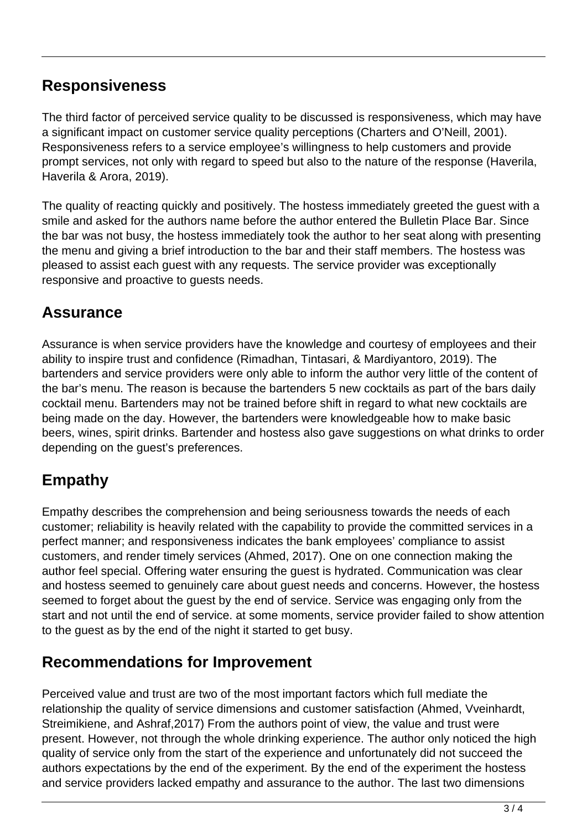### **Responsiveness**

The third factor of perceived service quality to be discussed is responsiveness, which may have a significant impact on customer service quality perceptions (Charters and O'Neill, 2001). Responsiveness refers to a service employee's willingness to help customers and provide prompt services, not only with regard to speed but also to the nature of the response (Haverila, Haverila & Arora, 2019).

The quality of reacting quickly and positively. The hostess immediately greeted the guest with a smile and asked for the authors name before the author entered the Bulletin Place Bar. Since the bar was not busy, the hostess immediately took the author to her seat along with presenting the menu and giving a brief introduction to the bar and their staff members. The hostess was pleased to assist each guest with any requests. The service provider was exceptionally responsive and proactive to guests needs.

### **Assurance**

Assurance is when service providers have the knowledge and courtesy of employees and their ability to inspire trust and confidence (Rimadhan, Tintasari, & Mardiyantoro, 2019). The bartenders and service providers were only able to inform the author very little of the content of the bar's menu. The reason is because the bartenders 5 new cocktails as part of the bars daily cocktail menu. Bartenders may not be trained before shift in regard to what new cocktails are being made on the day. However, the bartenders were knowledgeable how to make basic beers, wines, spirit drinks. Bartender and hostess also gave suggestions on what drinks to order depending on the guest's preferences.

### **Empathy**

Empathy describes the comprehension and being seriousness towards the needs of each customer; reliability is heavily related with the capability to provide the committed services in a perfect manner; and responsiveness indicates the bank employees' compliance to assist customers, and render timely services (Ahmed, 2017). One on one connection making the author feel special. Offering water ensuring the guest is hydrated. Communication was clear and hostess seemed to genuinely care about guest needs and concerns. However, the hostess seemed to forget about the guest by the end of service. Service was engaging only from the start and not until the end of service. at some moments, service provider failed to show attention to the guest as by the end of the night it started to get busy.

#### **Recommendations for Improvement**

Perceived value and trust are two of the most important factors which full mediate the relationship the quality of service dimensions and customer satisfaction (Ahmed, Vveinhardt, Streimikiene, and Ashraf,2017) From the authors point of view, the value and trust were present. However, not through the whole drinking experience. The author only noticed the high quality of service only from the start of the experience and unfortunately did not succeed the authors expectations by the end of the experiment. By the end of the experiment the hostess and service providers lacked empathy and assurance to the author. The last two dimensions